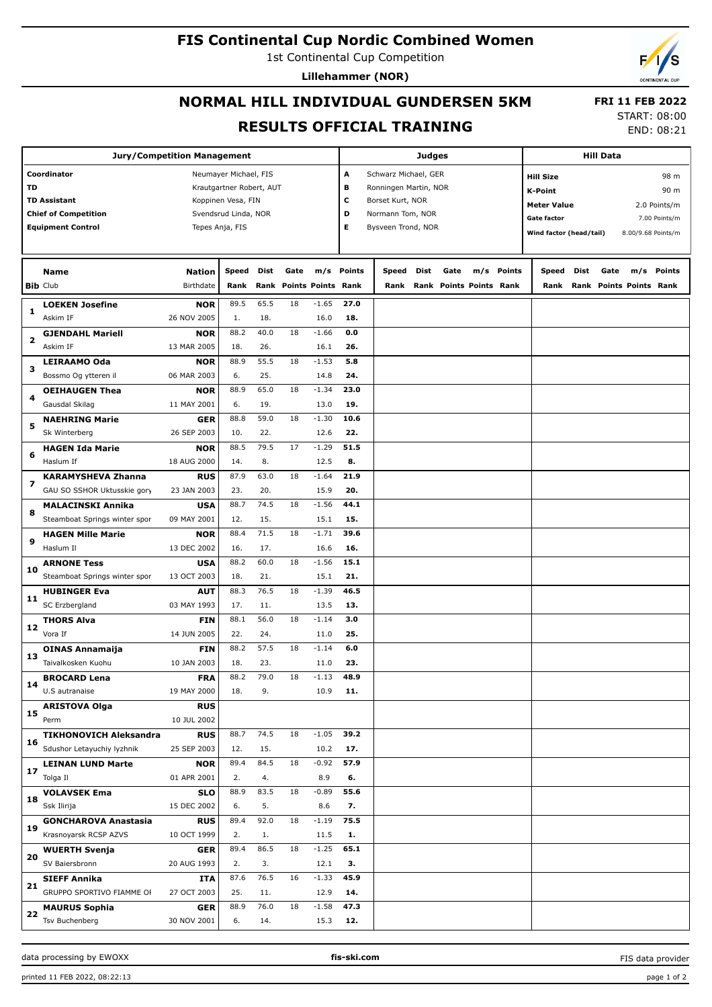## **FIS Continental Cup Nordic Combined Women**

1st Continental Cup Competition

**Lillehammer (NOR)**

# **NORMAL HILL INDIVIDUAL GUNDERSEN 5KM RESULTS OFFICIAL TRAINING**

 **FRI 11 FEB 2022** START: 08:00

| <b>Jury/Competition Management</b> |                                                  |                           |                          |             |      |                           | <b>Judges</b>                             |                           |      |      |                         |            | <b>Hill Data</b>                              |                          |      |                         |        |  |
|------------------------------------|--------------------------------------------------|---------------------------|--------------------------|-------------|------|---------------------------|-------------------------------------------|---------------------------|------|------|-------------------------|------------|-----------------------------------------------|--------------------------|------|-------------------------|--------|--|
|                                    | Coordinator                                      | Neumayer Michael, FIS     |                          |             |      |                           |                                           | А<br>Schwarz Michael, GER |      |      |                         |            |                                               | 98 m<br><b>Hill Size</b> |      |                         |        |  |
| TD                                 |                                                  |                           | Krautgartner Robert, AUT |             |      |                           | в<br>Ronningen Martin, NOR                |                           |      |      |                         |            |                                               |                          |      |                         |        |  |
|                                    | <b>TD Assistant</b>                              |                           | Koppinen Vesa, FIN       |             |      |                           | с                                         |                           |      |      |                         |            | <b>K-Point</b>                                |                          |      |                         | 90 m   |  |
|                                    | <b>Chief of Competition</b>                      |                           | Svendsrud Linda, NOR     |             |      |                           | Borset Kurt, NOR<br>D<br>Normann Tom, NOR |                           |      |      |                         |            | <b>Meter Value</b><br>2.0 Points/m            |                          |      |                         |        |  |
|                                    | <b>Equipment Control</b>                         | Tepes Anja, FIS           |                          |             |      |                           | E                                         | Bysveen Trond, NOR        |      |      |                         |            | <b>Gate factor</b><br>7.00 Points/m           |                          |      |                         |        |  |
|                                    |                                                  |                           |                          |             |      |                           |                                           |                           |      |      |                         |            | Wind factor (head/tail)<br>8.00/9.68 Points/m |                          |      |                         |        |  |
|                                    |                                                  |                           |                          |             |      |                           |                                           |                           |      |      |                         |            |                                               |                          |      |                         |        |  |
|                                    | <b>Name</b>                                      | <b>Nation</b>             | Speed                    | Dist        | Gate |                           | m/s Points                                | Speed                     | Dist | Gate |                         | m/s Points | Speed                                         | Dist                     | Gate | m/s                     | Points |  |
|                                    | <b>Bib Club</b>                                  | Birthdate                 | Rank                     | Rank        |      | <b>Points Points Rank</b> |                                           | Rank                      |      |      | Rank Points Points Rank |            | Rank                                          |                          |      | Rank Points Points Rank |        |  |
|                                    | <b>LOEKEN Josefine</b>                           | <b>NOR</b>                | 89.5                     | 65.5        | 18   | $-1.65$                   | 27.0                                      |                           |      |      |                         |            |                                               |                          |      |                         |        |  |
| 1                                  | Askim IF                                         | 26 NOV 2005               | 1.                       | 18.         |      | 16.0                      | 18.                                       |                           |      |      |                         |            |                                               |                          |      |                         |        |  |
|                                    | <b>GJENDAHL Mariell</b>                          | <b>NOR</b>                | 88.2                     | 40.0        | 18   | $-1.66$                   | 0.0                                       |                           |      |      |                         |            |                                               |                          |      |                         |        |  |
| 2                                  | Askim IF                                         | 13 MAR 2005               | 18.                      | 26.         |      | 16.1                      | 26.                                       |                           |      |      |                         |            |                                               |                          |      |                         |        |  |
|                                    | <b>LEIRAAMO Oda</b>                              | <b>NOR</b>                | 88.9                     | 55.5        | 18   | $-1.53$                   | 5.8                                       |                           |      |      |                         |            |                                               |                          |      |                         |        |  |
| з                                  | Bossmo Og ytteren il                             | 06 MAR 2003               | 6.                       | 25.         |      | 14.8                      | 24.                                       |                           |      |      |                         |            |                                               |                          |      |                         |        |  |
|                                    | <b>OEIHAUGEN Thea</b>                            | <b>NOR</b>                | 88.9                     | 65.0        | 18   | $-1.34$                   | 23.0                                      |                           |      |      |                         |            |                                               |                          |      |                         |        |  |
| 4                                  | Gausdal Skilag                                   | 11 MAY 2001               | 6.                       | 19.         |      | 13.0                      | 19.                                       |                           |      |      |                         |            |                                               |                          |      |                         |        |  |
|                                    | <b>NAEHRING Marie</b>                            | <b>GER</b>                | 88.8                     | 59.0        | 18   | $-1.30$                   | 10.6                                      |                           |      |      |                         |            |                                               |                          |      |                         |        |  |
| 5                                  | Sk Winterberg                                    | 26 SEP 2003               | 10.                      | 22.         |      | 12.6                      | 22.                                       |                           |      |      |                         |            |                                               |                          |      |                         |        |  |
|                                    | <b>HAGEN Ida Marie</b>                           | <b>NOR</b>                | 88.5                     | 79.5        | 17   | $-1.29$                   | 51.5                                      |                           |      |      |                         |            |                                               |                          |      |                         |        |  |
| 6                                  | Haslum If                                        | 18 AUG 2000               | 14.                      | 8.          |      | 12.5                      | 8.                                        |                           |      |      |                         |            |                                               |                          |      |                         |        |  |
|                                    | <b>KARAMYSHEVA Zhanna</b>                        | <b>RUS</b>                | 87.9                     | 63.0        | 18   | $-1.64$                   | 21.9                                      |                           |      |      |                         |            |                                               |                          |      |                         |        |  |
| 7                                  | GAU SO SSHOR Uktusskie gory                      | 23 JAN 2003               | 23.                      | 20.         |      | 15.9                      | 20.                                       |                           |      |      |                         |            |                                               |                          |      |                         |        |  |
|                                    | <b>MALACINSKI Annika</b>                         | <b>USA</b>                | 88.7                     | 74.5        | 18   | $-1.56$                   | 44.1                                      |                           |      |      |                         |            |                                               |                          |      |                         |        |  |
| 8                                  | Steamboat Springs winter spor                    | 09 MAY 2001               | 12.                      | 15.         |      | 15.1                      | 15.                                       |                           |      |      |                         |            |                                               |                          |      |                         |        |  |
|                                    | <b>HAGEN Mille Marie</b>                         | <b>NOR</b>                | 88.4                     | 71.5        | 18   | $-1.71$                   | 39.6                                      |                           |      |      |                         |            |                                               |                          |      |                         |        |  |
| 9                                  | Haslum Il                                        | 13 DEC 2002               | 16.                      | 17.         |      | 16.6                      | 16.                                       |                           |      |      |                         |            |                                               |                          |      |                         |        |  |
|                                    | <b>ARNONE Tess</b>                               | <b>USA</b>                | 88.2                     | 60.0        | 18   | $-1.56$                   | 15.1                                      |                           |      |      |                         |            |                                               |                          |      |                         |        |  |
| 10                                 | Steamboat Springs winter spor                    | 13 OCT 2003               | 18.                      | 21.         |      | 15.1                      | 21.                                       |                           |      |      |                         |            |                                               |                          |      |                         |        |  |
| 11                                 | <b>HUBINGER Eva</b>                              | <b>AUT</b>                | 88.3                     | 76.5        | 18   | $-1.39$                   | 46.5                                      |                           |      |      |                         |            |                                               |                          |      |                         |        |  |
|                                    | SC Erzbergland                                   | 03 MAY 1993               | 17.                      | 11.         |      | 13.5                      | 13.                                       |                           |      |      |                         |            |                                               |                          |      |                         |        |  |
|                                    | <b>THORS Alva</b>                                | <b>FIN</b>                | 88.1                     | 56.0        | 18   | $-1.14$                   | 3.0                                       |                           |      |      |                         |            |                                               |                          |      |                         |        |  |
| 12                                 | Vora If                                          | 14 JUN 2005               | 22.                      | 24.         |      | 11.0                      | 25.                                       |                           |      |      |                         |            |                                               |                          |      |                         |        |  |
| 13                                 | <b>OINAS Annamaija</b>                           | <b>FIN</b>                | 88.2                     | 57.5        | 18   | $-1.14$                   | 6.0                                       |                           |      |      |                         |            |                                               |                          |      |                         |        |  |
|                                    | Taivalkosken Kuohu                               | 10 JAN 2003               | 18.                      | 23.         |      | 11.0                      | 23.                                       |                           |      |      |                         |            |                                               |                          |      |                         |        |  |
|                                    | <b>BROCARD Lena</b>                              | <b>FRA</b>                | 88.2                     | 79.0        | 18   | $-1.13$                   | 48.9                                      |                           |      |      |                         |            |                                               |                          |      |                         |        |  |
| 14                                 | U.S autranaise                                   | 19 MAY 2000               | 18.                      | 9.          |      | 10.9                      | 11.                                       |                           |      |      |                         |            |                                               |                          |      |                         |        |  |
| 15                                 | <b>ARISTOVA Olga</b>                             | <b>RUS</b>                |                          |             |      |                           |                                           |                           |      |      |                         |            |                                               |                          |      |                         |        |  |
|                                    | Perm                                             | 10 JUL 2002               |                          |             |      |                           |                                           |                           |      |      |                         |            |                                               |                          |      |                         |        |  |
| 16                                 | <b>TIKHONOVICH Aleksandra</b>                    | <b>RUS</b>                | 88.7                     | 74.5        | 18   | $-1.05$                   | 39.2                                      |                           |      |      |                         |            |                                               |                          |      |                         |        |  |
|                                    | Sdushor Letayuchiy lyzhnik                       | 25 SEP 2003               | 12.                      | 15.         |      | 10.2                      | 17.                                       |                           |      |      |                         |            |                                               |                          |      |                         |        |  |
| 17                                 | <b>LEINAN LUND Marte</b>                         | <b>NOR</b>                | 89.4                     | 84.5        | 18   | $-0.92$                   | 57.9                                      |                           |      |      |                         |            |                                               |                          |      |                         |        |  |
|                                    | Tolga Il                                         | 01 APR 2001               | 2.                       | 4.          |      | 8.9                       | 6.                                        |                           |      |      |                         |            |                                               |                          |      |                         |        |  |
| 18                                 | <b>VOLAVSEK Ema</b>                              | <b>SLO</b>                | 88.9                     | 83.5        | 18   | $-0.89$                   | 55.6                                      |                           |      |      |                         |            |                                               |                          |      |                         |        |  |
|                                    | Ssk Ilirija                                      | 15 DEC 2002               | 6.                       | 5.          |      | 8.6                       | 7.                                        |                           |      |      |                         |            |                                               |                          |      |                         |        |  |
| 19                                 | <b>GONCHAROVA Anastasia</b>                      | <b>RUS</b>                | 89.4                     | 92.0        | 18   | $-1.19$                   | 75.5                                      |                           |      |      |                         |            |                                               |                          |      |                         |        |  |
|                                    | Krasnoyarsk RCSP AZVS                            | 10 OCT 1999               | 2.                       | 1.          |      | 11.5                      | 1.                                        |                           |      |      |                         |            |                                               |                          |      |                         |        |  |
| 20                                 | <b>WUERTH Svenja</b><br>SV Baiersbronn           | <b>GER</b>                | 89.4                     | 86.5        | 18   | $-1.25$                   | 65.1                                      |                           |      |      |                         |            |                                               |                          |      |                         |        |  |
|                                    |                                                  | 20 AUG 1993               | 2.<br>87.6               | 3.<br>76.5  | 16   | 12.1<br>$-1.33$           | з.<br>45.9                                |                           |      |      |                         |            |                                               |                          |      |                         |        |  |
| 21                                 | <b>SIEFF Annika</b><br>GRUPPO SPORTIVO FIAMME OF | ITA<br>27 OCT 2003        | 25.                      |             |      |                           |                                           |                           |      |      |                         |            |                                               |                          |      |                         |        |  |
|                                    |                                                  |                           | 88.9                     | 11.<br>76.0 | 18   | 12.9<br>$-1.58$           | 14.<br>47.3                               |                           |      |      |                         |            |                                               |                          |      |                         |        |  |
| 22                                 | <b>MAURUS Sophia</b><br><b>Tsv Buchenberg</b>    | <b>GER</b><br>30 NOV 2001 | 6.                       | 14.         |      | 15.3                      | 12.                                       |                           |      |      |                         |            |                                               |                          |      |                         |        |  |
|                                    |                                                  |                           |                          |             |      |                           |                                           |                           |      |      |                         |            |                                               |                          |      |                         |        |  |

#### data processing by EWOXX **fis-ski.com**

FIS data provider